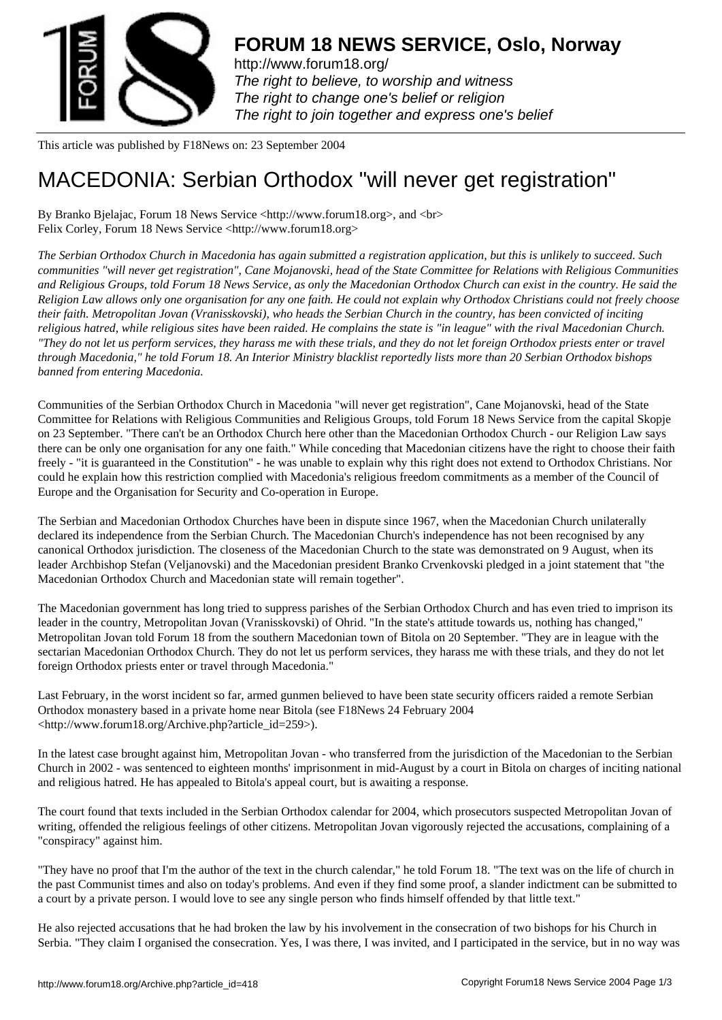

http://www.forum18.org/ The right to believe, to worship and witness The right to change one's belief or religion [The right to join together](http://www.forum18.org/) and express one's belief

This article was published by F18News on: 23 September 2004

## [MACEDONIA: Ser](http://www.forum18.org)bian Orthodox "will never get registration"

By Branko Bjelajac, Forum 18 News Service <http://www.forum18.org>, and <br> Felix Corley, Forum 18 News Service <http://www.forum18.org>

*The Serbian Orthodox Church in Macedonia has again submitted a registration application, but this is unlikely to succeed. Such communities "will never get registration", Cane Mojanovski, head of the State Committee for Relations with Religious Communities and Religious Groups, told Forum 18 News Service, as only the Macedonian Orthodox Church can exist in the country. He said the Religion Law allows only one organisation for any one faith. He could not explain why Orthodox Christians could not freely choose their faith. Metropolitan Jovan (Vranisskovski), who heads the Serbian Church in the country, has been convicted of inciting religious hatred, while religious sites have been raided. He complains the state is "in league" with the rival Macedonian Church. "They do not let us perform services, they harass me with these trials, and they do not let foreign Orthodox priests enter or travel through Macedonia," he told Forum 18. An Interior Ministry blacklist reportedly lists more than 20 Serbian Orthodox bishops banned from entering Macedonia.*

Communities of the Serbian Orthodox Church in Macedonia "will never get registration", Cane Mojanovski, head of the State Committee for Relations with Religious Communities and Religious Groups, told Forum 18 News Service from the capital Skopje on 23 September. "There can't be an Orthodox Church here other than the Macedonian Orthodox Church - our Religion Law says there can be only one organisation for any one faith." While conceding that Macedonian citizens have the right to choose their faith freely - "it is guaranteed in the Constitution" - he was unable to explain why this right does not extend to Orthodox Christians. Nor could he explain how this restriction complied with Macedonia's religious freedom commitments as a member of the Council of Europe and the Organisation for Security and Co-operation in Europe.

The Serbian and Macedonian Orthodox Churches have been in dispute since 1967, when the Macedonian Church unilaterally declared its independence from the Serbian Church. The Macedonian Church's independence has not been recognised by any canonical Orthodox jurisdiction. The closeness of the Macedonian Church to the state was demonstrated on 9 August, when its leader Archbishop Stefan (Veljanovski) and the Macedonian president Branko Crvenkovski pledged in a joint statement that "the Macedonian Orthodox Church and Macedonian state will remain together".

The Macedonian government has long tried to suppress parishes of the Serbian Orthodox Church and has even tried to imprison its leader in the country, Metropolitan Jovan (Vranisskovski) of Ohrid. "In the state's attitude towards us, nothing has changed," Metropolitan Jovan told Forum 18 from the southern Macedonian town of Bitola on 20 September. "They are in league with the sectarian Macedonian Orthodox Church. They do not let us perform services, they harass me with these trials, and they do not let foreign Orthodox priests enter or travel through Macedonia."

Last February, in the worst incident so far, armed gunmen believed to have been state security officers raided a remote Serbian Orthodox monastery based in a private home near Bitola (see F18News 24 February 2004 <http://www.forum18.org/Archive.php?article\_id=259>).

In the latest case brought against him, Metropolitan Jovan - who transferred from the jurisdiction of the Macedonian to the Serbian Church in 2002 - was sentenced to eighteen months' imprisonment in mid-August by a court in Bitola on charges of inciting national and religious hatred. He has appealed to Bitola's appeal court, but is awaiting a response.

The court found that texts included in the Serbian Orthodox calendar for 2004, which prosecutors suspected Metropolitan Jovan of writing, offended the religious feelings of other citizens. Metropolitan Jovan vigorously rejected the accusations, complaining of a "conspiracy" against him.

"They have no proof that I'm the author of the text in the church calendar," he told Forum 18. "The text was on the life of church in the past Communist times and also on today's problems. And even if they find some proof, a slander indictment can be submitted to a court by a private person. I would love to see any single person who finds himself offended by that little text."

He also rejected accusations that he had broken the law by his involvement in the consecration of two bishops for his Church in Serbia. "They claim I organised the consecration. Yes, I was there, I was invited, and I participated in the service, but in no way was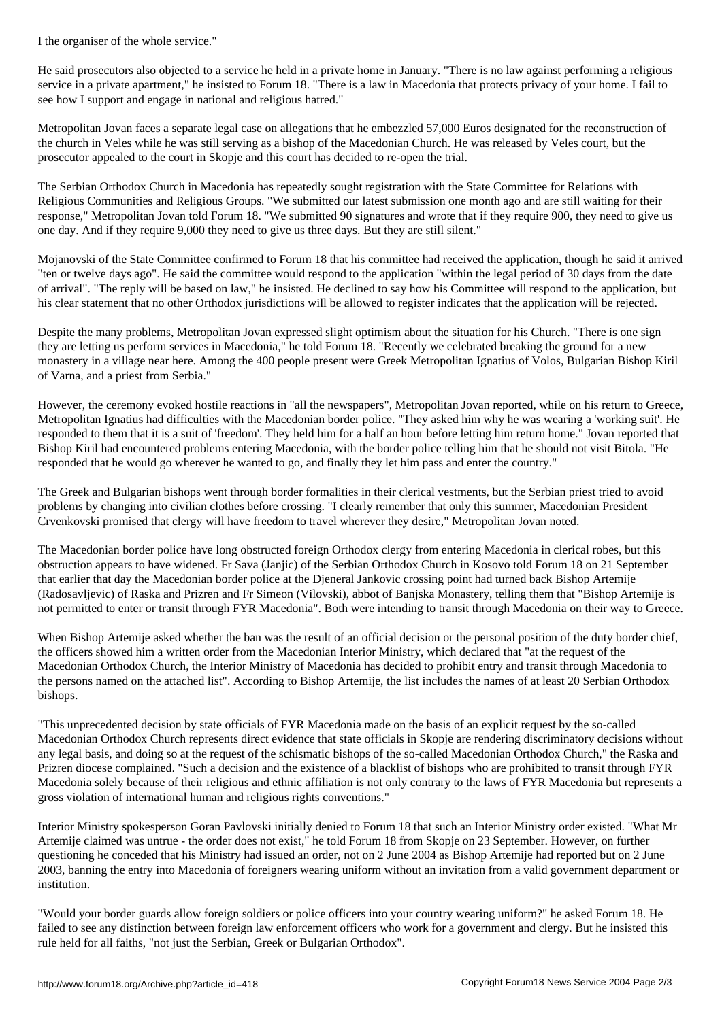He said prosecutors also objected to a service he held in a private home in January. "There is no law against performing a religious service in a private apartment," he insisted to Forum 18. "There is a law in Macedonia that protects privacy of your home. I fail to see how I support and engage in national and religious hatred."

Metropolitan Jovan faces a separate legal case on allegations that he embezzled 57,000 Euros designated for the reconstruction of the church in Veles while he was still serving as a bishop of the Macedonian Church. He was released by Veles court, but the prosecutor appealed to the court in Skopje and this court has decided to re-open the trial.

The Serbian Orthodox Church in Macedonia has repeatedly sought registration with the State Committee for Relations with Religious Communities and Religious Groups. "We submitted our latest submission one month ago and are still waiting for their response," Metropolitan Jovan told Forum 18. "We submitted 90 signatures and wrote that if they require 900, they need to give us one day. And if they require 9,000 they need to give us three days. But they are still silent."

Mojanovski of the State Committee confirmed to Forum 18 that his committee had received the application, though he said it arrived "ten or twelve days ago". He said the committee would respond to the application "within the legal period of 30 days from the date of arrival". "The reply will be based on law," he insisted. He declined to say how his Committee will respond to the application, but his clear statement that no other Orthodox jurisdictions will be allowed to register indicates that the application will be rejected.

Despite the many problems, Metropolitan Jovan expressed slight optimism about the situation for his Church. "There is one sign they are letting us perform services in Macedonia," he told Forum 18. "Recently we celebrated breaking the ground for a new monastery in a village near here. Among the 400 people present were Greek Metropolitan Ignatius of Volos, Bulgarian Bishop Kiril of Varna, and a priest from Serbia."

However, the ceremony evoked hostile reactions in "all the newspapers", Metropolitan Jovan reported, while on his return to Greece, Metropolitan Ignatius had difficulties with the Macedonian border police. "They asked him why he was wearing a 'working suit'. He responded to them that it is a suit of 'freedom'. They held him for a half an hour before letting him return home." Jovan reported that Bishop Kiril had encountered problems entering Macedonia, with the border police telling him that he should not visit Bitola. "He responded that he would go wherever he wanted to go, and finally they let him pass and enter the country."

The Greek and Bulgarian bishops went through border formalities in their clerical vestments, but the Serbian priest tried to avoid problems by changing into civilian clothes before crossing. "I clearly remember that only this summer, Macedonian President Crvenkovski promised that clergy will have freedom to travel wherever they desire," Metropolitan Jovan noted.

The Macedonian border police have long obstructed foreign Orthodox clergy from entering Macedonia in clerical robes, but this obstruction appears to have widened. Fr Sava (Janjic) of the Serbian Orthodox Church in Kosovo told Forum 18 on 21 September that earlier that day the Macedonian border police at the Djeneral Jankovic crossing point had turned back Bishop Artemije (Radosavljevic) of Raska and Prizren and Fr Simeon (Vilovski), abbot of Banjska Monastery, telling them that "Bishop Artemije is not permitted to enter or transit through FYR Macedonia". Both were intending to transit through Macedonia on their way to Greece.

When Bishop Artemije asked whether the ban was the result of an official decision or the personal position of the duty border chief, the officers showed him a written order from the Macedonian Interior Ministry, which declared that "at the request of the Macedonian Orthodox Church, the Interior Ministry of Macedonia has decided to prohibit entry and transit through Macedonia to the persons named on the attached list". According to Bishop Artemije, the list includes the names of at least 20 Serbian Orthodox bishops.

"This unprecedented decision by state officials of FYR Macedonia made on the basis of an explicit request by the so-called Macedonian Orthodox Church represents direct evidence that state officials in Skopje are rendering discriminatory decisions without any legal basis, and doing so at the request of the schismatic bishops of the so-called Macedonian Orthodox Church," the Raska and Prizren diocese complained. "Such a decision and the existence of a blacklist of bishops who are prohibited to transit through FYR Macedonia solely because of their religious and ethnic affiliation is not only contrary to the laws of FYR Macedonia but represents a gross violation of international human and religious rights conventions."

Interior Ministry spokesperson Goran Pavlovski initially denied to Forum 18 that such an Interior Ministry order existed. "What Mr Artemije claimed was untrue - the order does not exist," he told Forum 18 from Skopje on 23 September. However, on further questioning he conceded that his Ministry had issued an order, not on 2 June 2004 as Bishop Artemije had reported but on 2 June 2003, banning the entry into Macedonia of foreigners wearing uniform without an invitation from a valid government department or institution.

"Would your border guards allow foreign soldiers or police officers into your country wearing uniform?" he asked Forum 18. He failed to see any distinction between foreign law enforcement officers who work for a government and clergy. But he insisted this rule held for all faiths, "not just the Serbian, Greek or Bulgarian Orthodox".